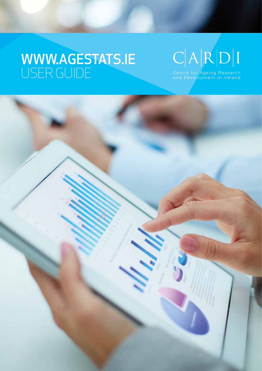### WWW.AGESTATS.IE USER GUIDE

# $C|A|R|D|I$

Centre for Ageing Research<br>and Development in Ireland

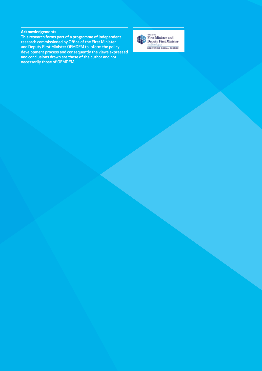#### **Acknowledgements**

This research forms part of a programme of independent research commissioned by Office of the First Minister and Deputy First Minister OFMDFM to inform the policy development process and consequently the views expressed and conclusions drawn are those of the author and not necessarily those of OFMDFM.

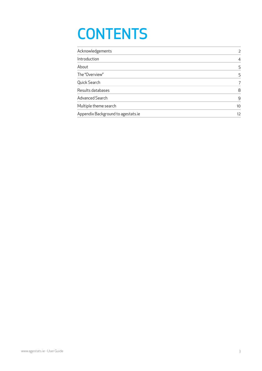## **CONTENTS**

| Acknowledgements                   | 2              |
|------------------------------------|----------------|
| Introduction                       | $\overline{4}$ |
| About                              | 5              |
| The "Overview"                     | 5              |
| Quick Search                       | 7              |
| Results databases                  | 8              |
| Advanced Search                    | 9              |
| Multiple theme search              | 10             |
| Appendix Background to agestats.ie | 12             |
|                                    |                |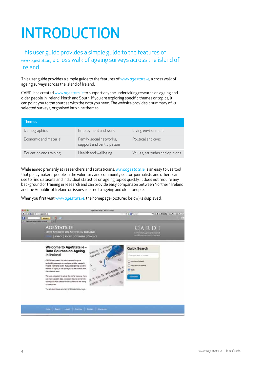## INTRODUCTION

#### This user guide provides a simple guide to the features of *www.agestats.ie*, a cross walk of ageing surveys across the island of Ireland.

This user guide provides a simple guide to the features of *www.agestats.ie*, a cross walk of ageing surveys across the island of Ireland.

CARDI has created *www.agestats.ie* to support anyone undertaking research on ageing and older people in Ireland, North and South. If you are exploring specific themes or topics, it can point you to the sources with the data you need. The website provides a summary of 31 selected surveys, organised into nine themes:

| <b>Themes</b>          |                                                       |                                |
|------------------------|-------------------------------------------------------|--------------------------------|
| Demographics           | Employment and work                                   | Living environment             |
| Economic and material  | Family, social networks,<br>support and participation | Political and civic            |
| Education and training | Health and wellbeing                                  | Values, attitudes and opinions |

While aimed primarily at researchers and statisticians, *www.agestats.ie* is an easy to use tool that policymakers, people in the voluntary and community sector, journalists and others can use to find datasets and individual statistics on ageing topics quickly. It does not require any background or training in research and can provide easy comparison between Northern Ireland and the Republic of Ireland on issues related to ageing and older people.

When you first visit *www.agestats.ie*, the homepage (pictured below) is displayed.

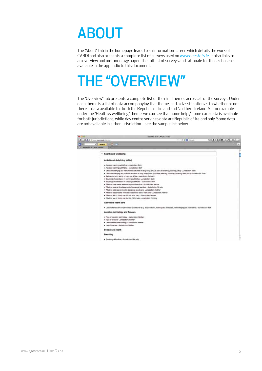## ABOUT

 $\frac{1}{2}$ 

The "About" tab in the homepage leads to an information screen which details the work of CARDI and also presents a complete list of surveys used on *www.agestats.ie*. It also links to an overview and methodology paper. The full list of surveys and rationale for those chosen is available in the appendix to this document.

## THE "OVERVIEW"

The "Overview" tab presents a complete list of the nine themes across all of the surveys. Under each theme is a list of data accompanying that theme, and a classification as to whether or not there is data available for both the Republic of Ireland and Northern Ireland. So for example under the "Health & wellbeing" theme, we can see that home help / home care data is available for both jurisdictions, while day centre services data are Republic of Ireland only. Some data are not available in either jurisdiction – see the sample list below.

|                              |                                                                                                                                                             | Aprilats in by CAIDI: Sirveys                                                                                                                 |                         |
|------------------------------|-------------------------------------------------------------------------------------------------------------------------------------------------------------|-----------------------------------------------------------------------------------------------------------------------------------------------|-------------------------|
|                              | in it & it of you appear a blue on                                                                                                                          | The College                                                                                                                                   | 9.14.6.01.01.01.01.01.0 |
|                              | MARCH 1997 LETT<br>$+31$                                                                                                                                    |                                                                                                                                               |                         |
| Aprilainia la CARIN Surveye. | m                                                                                                                                                           |                                                                                                                                               |                         |
|                              | - health and wellbeing                                                                                                                                      |                                                                                                                                               |                         |
|                              | Activities of stally living (ADLs)                                                                                                                          |                                                                                                                                               |                         |
|                              | . Assisted carrying out IADLs - Junstitztion: Both                                                                                                          |                                                                                                                                               |                         |
|                              | . Assisted carrying out PADLs - Junisdiction: Both                                                                                                          |                                                                                                                                               |                         |
|                              |                                                                                                                                                             | . Efficultes nerying out instrumental activities of dary living BADLIS (include creating, cooking, rist.) - Jurisdiction: Both                |                         |
|                              |                                                                                                                                                             | . Difficultes carrying out personal activities of daily tiving (PADLS) (Include washing, creasing, brushing teem, etc.) - Juniciation in Com- |                         |
|                              | . Batisfaction with ability to carry out ADLs - Jurisdiction; that only                                                                                     |                                                                                                                                               |                         |
|                              | . Sourcess of assistance in carrying out MDLs - Junisdiction: Both                                                                                          |                                                                                                                                               |                         |
|                              | . Sourcela) of assistance in carrying out PADLs - Jurisdiction: Both                                                                                        |                                                                                                                                               |                         |
|                              | . Whether care reads assesses by social services - Jurisdiction: Neither<br>. Whather receive direct payments from social services - Jurisdiction. Ni crity |                                                                                                                                               |                         |
|                              | . Whather relatives involved in decisions about oare-Justiciotion: Nether                                                                                   |                                                                                                                                               |                         |
|                              | . Whether respondents involved in decisions apput their care - Junsdiction: Netther                                                                         |                                                                                                                                               |                         |
|                              | . Whether you or family pay for this IAOL help - Jurisdiction: Netther                                                                                      |                                                                                                                                               |                         |
|                              | . Whether you or family pay for this FADI, help - Junadiction: Rollorsy                                                                                     |                                                                                                                                               |                         |
|                              | Alternative health care                                                                                                                                     |                                                                                                                                               |                         |
|                              |                                                                                                                                                             | . Use of alternative/contribution/enactibities and acupulated in temporals, patengers, referring that 12 months) - Annibirium Both            |                         |
|                              | Assistive technology and Telecare                                                                                                                           |                                                                                                                                               |                         |
|                              | . Type of constive technology - Jurisdiction: Notter                                                                                                        |                                                                                                                                               |                         |
|                              | . Type of fewcare - Jurisdiction; Netther                                                                                                                   |                                                                                                                                               |                         |
|                              | . Lise of assortive technology - Jurisdiction: Neither                                                                                                      |                                                                                                                                               |                         |
|                              | . Lise of telecare - Juriscichon; Nelther-                                                                                                                  |                                                                                                                                               |                         |
|                              | Behavioural health                                                                                                                                          |                                                                                                                                               |                         |
|                              | Eneathing                                                                                                                                                   |                                                                                                                                               |                         |
|                              | . Breathing difficulties - Juriadiction: Rol only                                                                                                           |                                                                                                                                               |                         |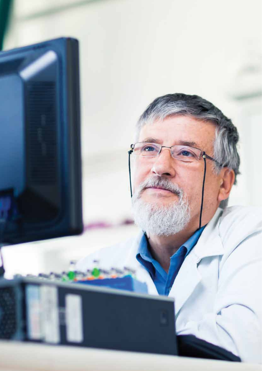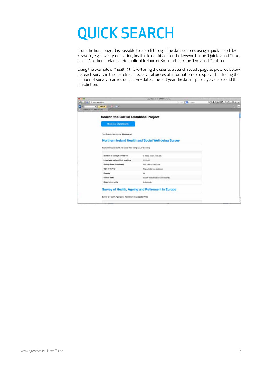## QUICK SEARCH

From the homepage, it is possible to search through the data sources using a quick search by keyword, e.g. poverty, education, health. To do this, enter the keyword in the "Quick search" box, select Northern Ireland or Republic of Ireland or Both and click the "Do search" button.

Using the example of "health", this will bring the user to a search results page as pictured below. For each survey in the search results, several pieces of information are displayed, including the number of surveys carried out, survey dates, the last year the data is publicly available and the jurisdiction.

| Ft Ft<br><b>Alail &amp; I</b> it see memor      |                                                                              | April and in by CARN Tunnels                         | D = C (C) + coom | 9.4.4.0.0.01.0.001 |
|-------------------------------------------------|------------------------------------------------------------------------------|------------------------------------------------------|------------------|--------------------|
| a<br><b>Application by CANDA Terrythin</b><br>٠ | <b>CE MARK (COLD)</b><br><b>STATE</b>                                        |                                                      |                  | l 61               |
|                                                 | <b>Search the CARDI Database Project</b>                                     |                                                      |                  |                    |
|                                                 | <b>Illum your priginal search</b><br>Your Branch has returned 28 statvey(s). | Northern Ireland Health and Social Well-being Survey |                  |                    |
|                                                 | Normers Ireland realth and Goost Well-being Survey (NHAVE)                   |                                                      |                  |                    |
|                                                 | Number of surveys corried out.                                               | 3 (1997, 2001, 2005-06)                              |                  |                    |
|                                                 | Latest year date publicly evaliable                                          | 2335-06                                              |                  |                    |
|                                                 | <b>Burvey dates Satest dates</b>                                             | Firey Points for Fireb 2008.                         |                  |                    |
|                                                 | Type of survey                                                               | <b>Flapested cross-sections:</b>                     |                  |                    |
|                                                 | Country                                                                      | 1d                                                   |                  |                    |
|                                                 | Soons unts                                                                   | <b>Health and Social Services Roards</b>             |                  |                    |
|                                                 | Observation units                                                            | Individuals                                          |                  |                    |
|                                                 |                                                                              | Survey of Health, Ageing and Retirement in Europe    |                  |                    |
|                                                 | Survey of Health, Ageng and Recrement in Europe (SHARE)                      |                                                      |                  |                    |
|                                                 |                                                                              |                                                      |                  |                    |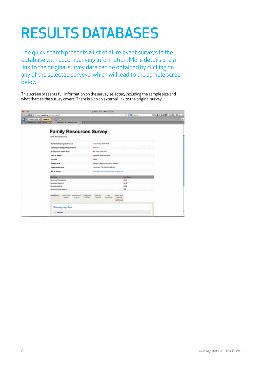## RESULTS DATABASES

The quick search presents a list of all relevant surveys in the database with accompanying information. More details and a link to the original survey data can be obtained by clicking on any of the selected surveys, which will lead to the sample screen below.

This screen presents full information on the survey selected, including the sample size and what themes the survey covers. There is also an external link to the original survey.

| 600<br><b>CELEBRATION AND ADMINISTRATION CONTINUES</b><br><b>Commission of the same in the com-</b><br>œ | Harlington by CAUR Surveys  in T. in  Applicate as CANDR Service  in  .                                    | Apdoints in by EARTH Servers                               | <b>Ciric Ellinonum</b>                                               | $(1)$ $(1)$ $(2)$ $(3)$ $(4)$ $(5)$<br>× |
|----------------------------------------------------------------------------------------------------------|------------------------------------------------------------------------------------------------------------|------------------------------------------------------------|----------------------------------------------------------------------|------------------------------------------|
|                                                                                                          | <b>Family Resources Survey</b><br>Family Resources Survey                                                  |                                                            |                                                                      |                                          |
|                                                                                                          | Number of surveys swrited out<br>Latest year data publicly systemists                                      | 10   Armusty virus 2002)<br>202419                         |                                                                      |                                          |
|                                                                                                          | <b>Buryey dates (lates) data)</b>                                                                          | Apr 2009 - Mar 2010                                        |                                                                      |                                          |
|                                                                                                          | <b>Tops of nurvey</b>                                                                                      | Repeties assertants on                                     |                                                                      |                                          |
|                                                                                                          | <b>Country</b>                                                                                             | OBAA                                                       |                                                                      |                                          |
|                                                                                                          | <b>Soother serves</b>                                                                                      | Country / Covernment Office Regions                        |                                                                      |                                          |
|                                                                                                          | Obeares lies until                                                                                         | <b>Policituals Fartiles/Insurations</b>                    |                                                                      |                                          |
|                                                                                                          | Go Te Survey                                                                                               | Bifasu/Num/endosu/NordLgarte Editios/Pely applichted       |                                                                      |                                          |
|                                                                                                          | Derrome                                                                                                    |                                                            | <b>ALLINGANY</b>                                                     |                                          |
|                                                                                                          | Number of Number                                                                                           |                                                            | $20 + 1$                                                             |                                          |
|                                                                                                          | Number of persons<br>Number of adults                                                                      |                                                            | 4016<br><b>Join</b>                                                  |                                          |
|                                                                                                          | Number of objet parasie                                                                                    |                                                            | 729                                                                  |                                          |
|                                                                                                          | Geographie Pureracket Nasarchiel Elgischer<br><b>Just Hare</b><br><b>Fairty</b><br><b><i>HOUSE OUT</i></b> | <b>TRAPS AND</b><br>Lang<br>meases:<br><b>Silvingsmann</b> | Fares, Rock<br><b>Tellecitis</b><br>Report And<br><b>Faricipator</b> |                                          |
|                                                                                                          | Demographics                                                                                               |                                                            |                                                                      |                                          |
|                                                                                                          | $-$ Person                                                                                                 |                                                            |                                                                      |                                          |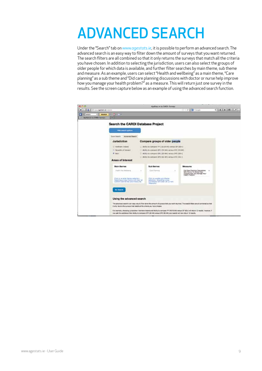## ADVANCED SEARCH

Under the "Search" tab on *www.agestats.ie*, it is possible to perform an advanced search. The advanced search is an easy way to filter down the amount of surveys that you want returned. The search filters are all combined so that it only returns the surveys that match all the criteria you have chosen. In addition to selecting the jurisdiction, users can also select the groups of older people for which data is available, and further filter searches by main theme, sub theme and measure. As an example, users can select "Health and wellbeing" as a main theme, "Care planning" as a sub theme and "Did care planning discussions with doctor or nurse help improve how you manage your health problem?" as a measure. This will return just one survey in the results. See the screen capture below as an example of using the advanced search function.

| ALL ELECTRIC IN THE AMERICAN DISTRICT                     |                                                                                                                | Apditate is by CARD: Surveys                                                                                                                                        | <b>中下語 国</b> *Skoph                                                                                                                              | 9.1410101111 |
|-----------------------------------------------------------|----------------------------------------------------------------------------------------------------------------|---------------------------------------------------------------------------------------------------------------------------------------------------------------------|--------------------------------------------------------------------------------------------------------------------------------------------------|--------------|
| <b>V EGANCH</b><br>poca's<br>Aprileitain in CARDI Service | <b>TIME-LIP</b><br>m                                                                                           |                                                                                                                                                                     |                                                                                                                                                  |              |
|                                                           | Search the CARDI Database Project                                                                              |                                                                                                                                                                     |                                                                                                                                                  |              |
|                                                           | Hide search aprices                                                                                            |                                                                                                                                                                     |                                                                                                                                                  |              |
|                                                           | <b>Quick Swarth</b><br>Advanced Swedh<br>Jurisdiction                                                          | Compare groups of older people                                                                                                                                      |                                                                                                                                                  |              |
|                                                           | C Hartflarn Instant<br>D. Republic at Insland<br>W. Built                                                      | [] Ability to compare YP (19/18-64) versus OP (65+)<br>[2] Albility for compare OPS (50-64) versus 0P2 (65-84)<br>D. AMIly to compare OP1 (30-84) versus OF3 (33+). |                                                                                                                                                  |              |
|                                                           | <b>Areas of Interest</b>                                                                                       | Li Abilitorità comparti OFZ (65-84) versus DF3 (85+)                                                                                                                |                                                                                                                                                  |              |
|                                                           | Main themes<br>Finally First Hielbare g.                                                                       | Sub themes<br><b>Cars Flamma</b>                                                                                                                                    | <b>Measures</b><br>Did Care Planning Discussions<br>Wiltry Deschor Dr Harme Herip-<br><b>IROFONE POW YOU MANUSE TRUT</b><br>ust n. Papiguarn.    | $\sim$       |
|                                                           | Citch to wouldn't frame selection.<br>Selecting a new theme will chear all<br>CUTRIS LULITIE THIS and WHEELTHS | Citib to enable sub-theme<br>eriection. Spieding a new<br>particle for visit charged current<br><b><i><u>Publishers &amp;</u></i></b>                               |                                                                                                                                                  |              |
|                                                           | <b>Do Search</b>                                                                                               |                                                                                                                                                                     |                                                                                                                                                  |              |
|                                                           | Using the advanced search                                                                                      |                                                                                                                                                                     |                                                                                                                                                  |              |
|                                                           | it only returns the surveys that match all the onlines you have choose.                                        |                                                                                                                                                                     | The advanced search is an casy way to filter down the amount of surveys that you want returned. The search filters are all combined as that      |              |
|                                                           |                                                                                                                | you add the additional filter Ability to compare CIPI (50 64) yorous CIP2 (65 84) your search will now return 10 results.                                           | For deartole, photosing Junsdictions Northern Instand and Ability to cerricate YP (19615-84) versus CP (854) of influes 12 results, Heartyes, F. |              |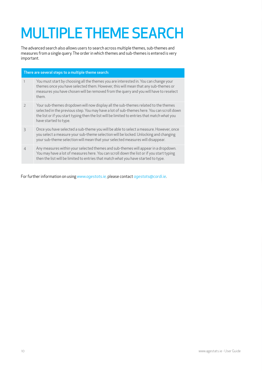## MULTIPLE THEME SEARCH

The advanced search also allows users to search across multiple themes, sub-themes and measures from a single query. The order in which themes and sub-themes is entered is very important.

|                          | There are several steps to a multiple theme search:                                                                                                                                                                                                                                                      |
|--------------------------|----------------------------------------------------------------------------------------------------------------------------------------------------------------------------------------------------------------------------------------------------------------------------------------------------------|
| $\mathbf{1}$             | You must start by choosing all the themes you are interested in. You can change your<br>themes once you have selected them. However, this will mean that any sub-themes or<br>measures you have chosen will be removed from the query and you will have to reselect<br>them.                             |
| $\overline{2}$           | Your sub-themes dropdown will now display all the sub-themes related to the themes<br>selected in the previous step. You may have a lot of sub-themes here. You can scroll down<br>the list or if you start typing then the list will be limited to entries that match what you<br>have started to type. |
| $\overline{\mathcal{L}}$ | Once you have selected a sub-theme you will be able to select a measure. However, once<br>you select a measure your sub-theme selection will be locked. Unlocking and changing<br>your sub-theme selection will mean that your selected measures will disappear.                                         |
| $\overline{4}$           | Any measures within your selected themes and sub-themes will appear in a dropdown.<br>You may have a lot of measures here. You can scroll down the list or if you start typing<br>then the list will be limited to entries that match what you have started to type.                                     |

For further information on using *www.agestats.ie,* please contact *agestats@cardi.ie*.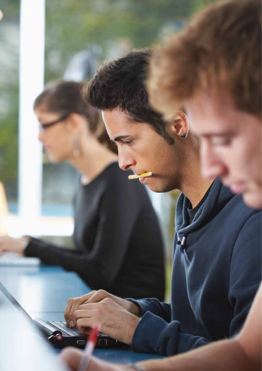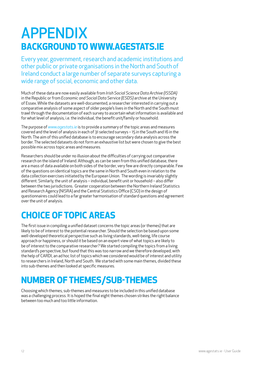### APPENDIX **BACKGROUND TO WWW.AGESTATS.IE**

Every year, government, research and academic institutions and other public or private organisations in the North and South of Ireland conduct a large number of separate surveys capturing a wide range of social, economic and other data.

Much of these data are now easily available from *Irish Social Science Data Archive (ISSDA)*  in the Republic or from *Economic and Social Data Service (ESDS)* archive at the University of Essex. While the datasets are well-documented, a researcher interested in carrying out a comparative analysis of some aspect of older people's lives in the North and the South must trawl through the documentation of each survey to ascertain what information is available and for what level of analysis, i.e. the individual, the benefit unit/family or household.

The purpose of *www.agestats.ie* is to provide a summary of the topic areas and measures covered and the level of analysis in each of 31 selected surveys – 15 in the South and 16 in the North. The aim of this unified database is to encourage secondary data analysis across the border. The selected datasets do not form an exhaustive list but were chosen to give the best possible mix across topic areas and measures.

Researchers should be under no illusion about the difficulties of carrying out comparative research on the island of Ireland. Although, as can be seen from this unified database, there are a mass of data available on both sides of the border, very few are directly comparable. Few of the questions on identical topics are the same in North and South even in relation to the data collection exercises initiated by the European Union. The wording is invariably slightly different. Similarly, the unit of analysis – individual, benefit unit or household – also differ between the two jurisdictions. Greater cooperation between the Northern Ireland Statistics and Research Agency (NISRA) and the Central Statistics Office (CSO) in the design of questionnaires could lead to a far greater harmonisation of standard questions and agreement over the unit of analysis.

### **Choice of topic areas**

The first issue in compiling a unified dataset concerns the topic areas (or themes) that are likely to be of interest to the potential researcher. Should the selection be based upon some well-developed theoretical perspective such as living standards, well-being, life course approach or happiness, or should it be based on an expert view of what topics are likely to be of interest to the comparative researcher? We started compiling the topics from a living standard's perspective, but found that this was too narrow and we therefore developed, with the help of CARDI, an ad hoc list of topics which we considered would be of interest and utility to researchers in Ireland, North and South. We started with some main themes, divided these into sub-themes and then looked at specific measures.

### **Number of themes/sub-themes**

Choosing which themes, sub-themes and measures to be included in this unified database was a challenging process. It is hoped the final eight themes chosen strikes the right balance between too much and too little information.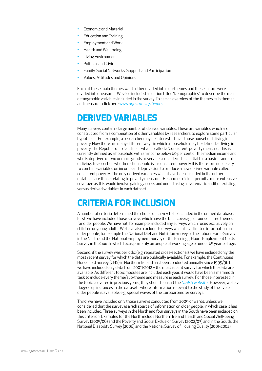- **Economic and Material**
- **Education and Training**
- **Employment and Work**
- **•**  Health and Well-being
- **•**  Living Environment
- **Political and Civic**
- **•**  Family, Social Networks, Support and Participation
- **•**  Values, Attitudes and Opinions

Each of these main themes was further divided into sub-themes and these in turn were divided into measures. We also included a section titled 'Demographics' to describe the main demographic variables included in the survey. To see an overview of the themes, sub themes and measures click here *www.agestats.ie/themes*

#### **Derived variables**

Many surveys contain a large number of derived variables. These are variables which are constructed from a combination of other variables by researchers to explore some particular hypothesis. For example, a researcher may be interested in all those households living in poverty. Now there are many different ways in which a household may be defined as living in poverty. The Republic of Ireland uses what is called a 'Consistent' poverty measure. This is currently defined as a household with an income below 60 per cent of the median income and who is deprived of two or more goods or services considered essential for a basic standard of living. To ascertain whether a household is in consistent poverty it is therefore necessary to combine variables on income and deprivation to produce a new derived variable called consistent poverty. The only derived variables which have been included in the unified database are those relating to poverty measures. Resources did not permit a more extensive coverage as this would involve gaining access and undertaking a systematic audit of existing versus derived variables in each dataset.

#### **Criteria for inclusion**

A number of criteria determined the choice of survey to be included in the unified database. First, we have included those surveys which have the best coverage of our selected themes for older people. We have not, for example, included any surveys which focus exclusively on children or young adults. We have also excluded surveys which have limited information on older people, for example the National Diet and Nutrition Survey or the Labour Force Survey in the North and the National Employment Survey of the Earnings, Hours Employment Costs Survey in the South, which focus primarily on people of working age or under 65 years of age.

Second, if the survey was periodic (e.g. repeated cross-sectional), we have included only the most recent survey for which the data are publically available. For example, the Continuous Household Survey (CHS) in Northern Ireland has been conducted annually since 1995/96 but we have included only data from 20011-2012 – the most recent survey for which the data are available. As different topic modules are included each year, it would have been a mammoth task to include every theme/sub-theme and measure in each survey. For those interested in the topics covered in precious years, they should consult the *NISRA website*. However, we have flagged up instances in the datasets where information relevant to the study of the lives of older people is available, e.g. special waves of the Eurobarometer surveys.

Third, we have included only those surveys conducted from 2009 onwards, unless we considered that the survey is a rich source of information on older people, in which case it has been included. Three surveys in the North and four surveys in the South have been included on this criterion. Examples for the North include Northern Ireland Health and Social Well-being Survey (2005/06) and the Poverty and Social Exclusion Survey (2002/03) and in the South, the National Disability Survey (2006) and the National Survey of Housing Quality (2001-2002).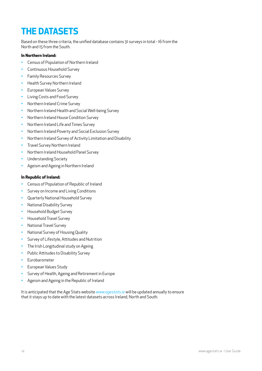### **The Datasets**

Based on these three criteria, the unified database contains 31 surveys in total - 16 from the North and 15 from the South.

#### **In Northern Ireland:**

- **•**  Census of Population of Northern Ireland
- **Continuous Household Survey**
- **Family Resources Survey**
- **Health Survey Northern Ireland**
- **European Values Survey**
- **Living Costs and Food Survey**
- **Northern Ireland Crime Survey**
- **•**  Northern Ireland Health and Social Well-being Survey
- **•**  Northern Ireland House Condition Survey
- **•**  Northern Ireland Life and Times Survey
- **•**  Northern Ireland Poverty and Social Exclusion Survey
- **•**  Northern Ireland Survey of Activity Limitation and Disability
- **Travel Survey Northern Ireland**
- **•**  Northern Ireland Household Panel Survey
- **Understanding Society**
- **•**  Ageism and Ageing in Northern Ireland

#### **In Republic of Ireland:**

- **•**  Census of Population of Republic of Ireland
- **Survey on Income and Living Conditions**
- **•**  Quarterly National Household Survey
- **National Disability Survey**
- **•**  Household Budget Survey
- **•**  Household Travel Survey
- **National Travel Survey**
- **National Survey of Housing Quality**
- **Survey of Lifestyle, Attitudes and Nutrition**
- The Irish Longitudinal study on Ageing
- Public Attitudes to Disability Survey
- **•**  Eurobarometer
- **European Values Study**
- Survey of Health, Ageing and Retirement in Europe
- **•**  Ageism and Ageing in the Republic of Ireland

It is anticipated that the Age Stats website *www.agestats.ie* will be updated annually to ensure that it stays up to date with the latest datasets across Ireland, North and South.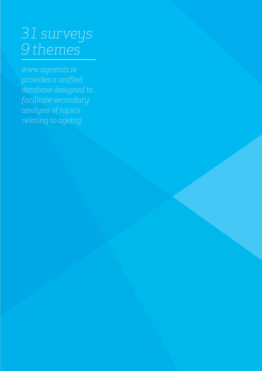## *31 surveys 9 themes*

*www.agestats.ie provides a unified database designed to facilitate secondary analysis of topics relating to ageing.*